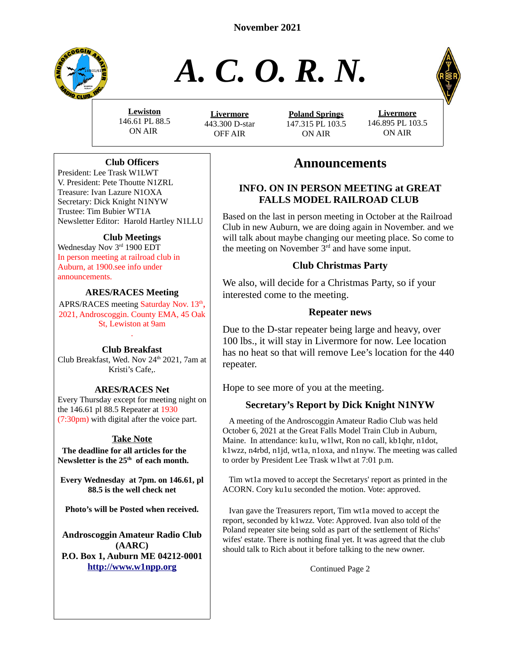

# *A. C. O. R. N.*



**Lewiston** 146.61 PL 88.5 ON AIR

 **L ivermore** 443.300 D-star OFF AIR

**Poland Springs** 147.315 PL 103.5 ON AIR



# **Announcements**

# **INFO. ON IN PERSON MEETING at GREAT FALLS MODEL RAILROAD CLUB**

Based on the last in person meeting in October at the Railroad Club in new Auburn, we are doing again in November. and we will talk about maybe changing our meeting place. So come to the meeting on November  $3<sup>rd</sup>$  and have some input.

# **Club Christmas Party**

We also, will decide for a Christmas Party, so if your interested come to the meeting.

# **Repeater news**

Due to the D-star repeater being large and heavy, over 100 lbs., it will stay in Livermore for now. Lee location has no heat so that will remove Lee's location for the 440 repeater.

Hope to see more of you at the meeting.

# **Secretary's Report by Dick Knight N1NYW**

 A meeting of the Androscoggin Amateur Radio Club was held October 6, 2021 at the Great Falls Model Train Club in Auburn, Maine. In attendance: ku1u, w1lwt, Ron no call, kb1qhr, n1dot, k1wzz, n4rbd, n1jd, wt1a, n1oxa, and n1nyw. The meeting was called to order by President Lee Trask w1lwt at 7:01 p.m.

 Tim wt1a moved to accept the Secretarys' report as printed in the ACORN. Cory ku1u seconded the motion. Vote: approved.

 Ivan gave the Treasurers report, Tim wt1a moved to accept the report, seconded by k1wzz. Vote: Approved. Ivan also told of the Poland repeater site being sold as part of the settlement of Richs' wifes' estate. There is nothing final yet. It was agreed that the club should talk to Rich about it before talking to the new owner.

Continued Page 2

# **Club Officers**

President: Lee Trask W1LWT V. President: Pete Thoutte N1ZRL Treasure: Ivan Lazure N1OXA Secretary: Dick Knight N1NYW Trustee: Tim Bubier WT1A Newsletter Editor: Harold Hartley N1LLU

#### **Club Meetings**

Wednesday Nov 3rd 1900 EDT In person meeting at railroad club in Auburn, at 1900.see info under announcements.

#### **ARES/RACES Meeting**

APRS/RACES meeting Saturday Nov. 13<sup>th</sup>, 2021, Androscoggin. County EMA, 45 Oak St, Lewiston at 9am .

#### **Club Breakfast**

Club Breakfast, Wed. Nov 24<sup>th</sup> 2021, 7am at Kristi's Cafe,.

#### **ARES/RACES Net**

Every Thursday except for meeting night on the 146.61 pl 88.5 Repeater at 1930 (7:30pm) with digital after the voice part.

# **Take Note**

 **The deadline for all articles for the Newsletter is the 25th of each month.**

**Every Wednesday at 7pm. on 146.61, pl 88.5 is the well check net**

**Photo's will be Posted when received.**

**Androscoggin Amateur Radio Club (AARC) P.O. Box 1, Auburn ME 04212-0001 [http://www.w1npp.org](http://www.w1npp.org/)**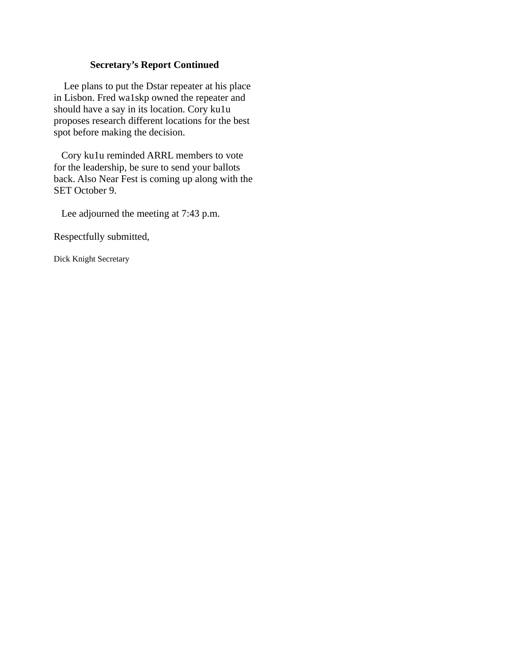#### **Secretary's Report Continued**

 Lee plans to put the Dstar repeater at his place in Lisbon. Fred wa1skp owned the repeater and should have a say in its location. Cory ku1u proposes research different locations for the best spot before making the decision.

 Cory ku1u reminded ARRL members to vote for the leadership, be sure to send your ballots back. Also Near Fest is coming up along with the SET October 9.

Lee adjourned the meeting at 7:43 p.m.

Respectfully submitted,

Dick Knight Secretary